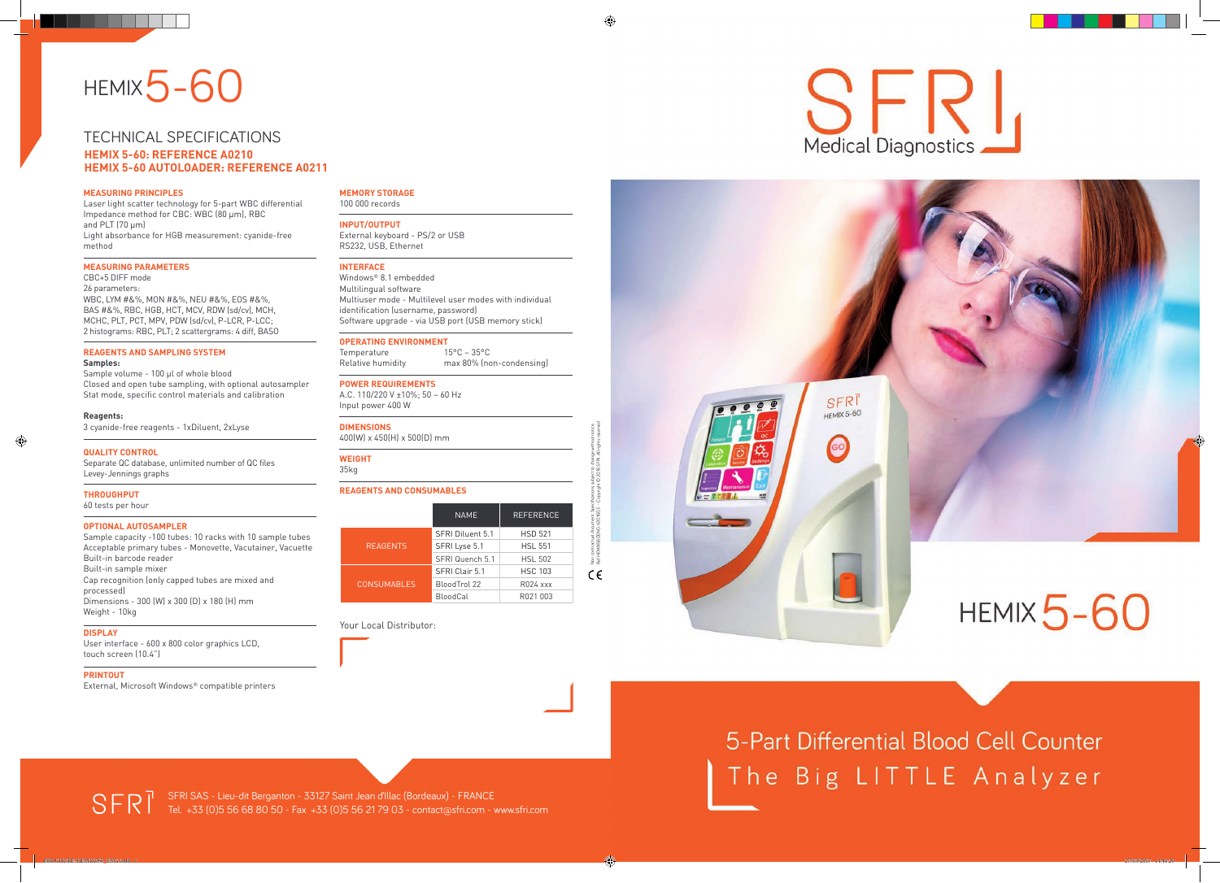



5-Part Differential Blood Cell Counter The Big LITTLE Analyzer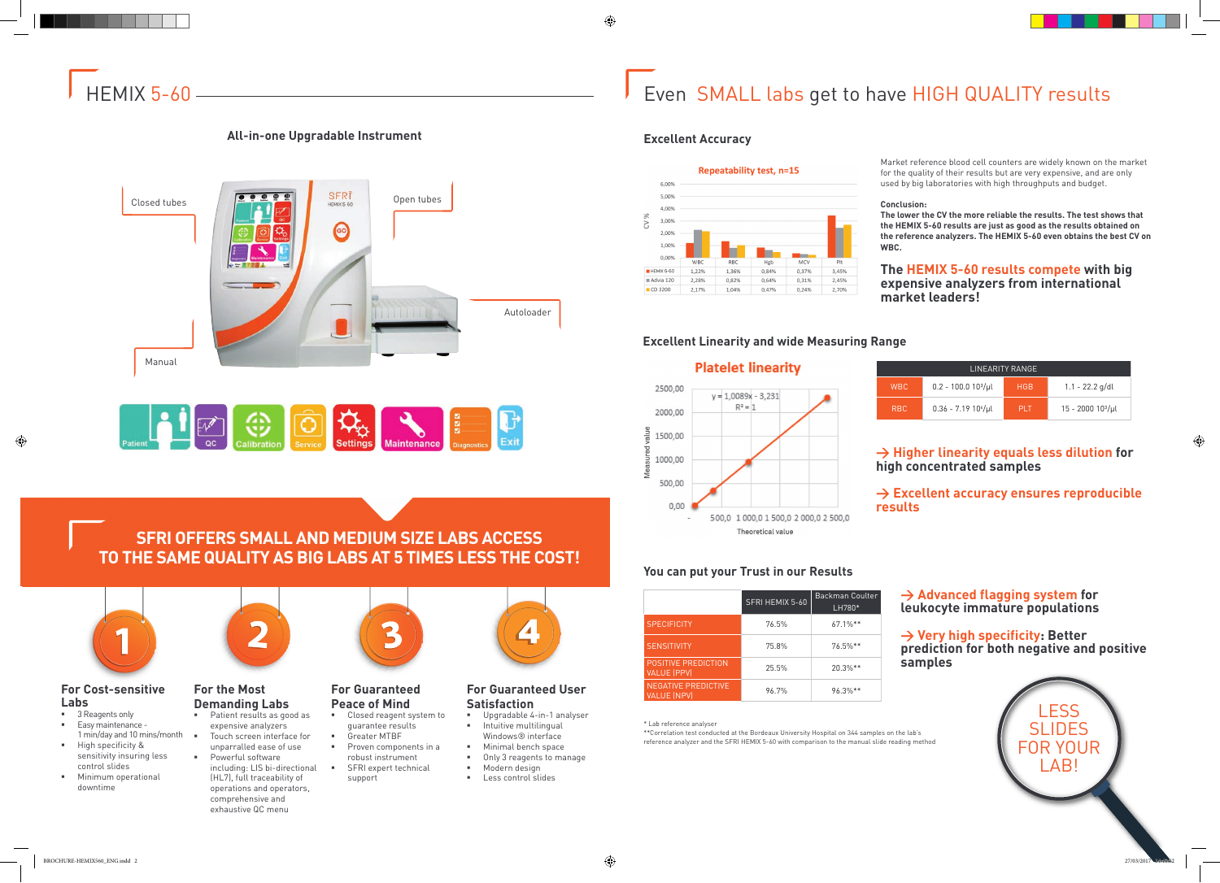

### **For Cost-sensitive Labs**

- 3 Reagents only **Easy maintenance -**
- 1 min/day and 10 mins/month High specificity &
- sensitivity insuring less control slides
- Minimum operational downtime



- **Patient results as good as** expensive analyzers
- Touch screen interface for unparralled ease of use Powerful software including: LIS bi-directional (HL7), full traceability of

# **For the Most Demanding Labs**

- Upgradable 4-in-1 analyser Intuitive multilingual Windows® interface
- **Minimal bench space**
- Only 3 reagents to manage **Modern design**
- **Less control slides**

operations and operators, comprehensive and exhaustive QC menu



# **For Guaranteed Peace of Mind**

- Closed reagent system to guarantee results
- Greater MTBF
- **Proven components in a** robust instrument
- **SFRI expert technical** support



## **For Guaranteed User Satisfaction**

# Even SMALL labs get to have HIGH QUALITY results

# **SFRI OFFERS SMALL AND MEDIUM SIZE LABS ACCESS TO THE SAME QUALITY AS BIG LABS AT 5 TIMES LESS THE COST!**







# **All-in-one Upgradable Instrument Excellent Accuracy**



Market reference blood cell counters are widely known on the market for the quality of their results but are very expensive, and are only used by big laboratories with high throughputs and budget.

#### **Conclusion:**

**The lower the CV the more reliable the results. The test shows that the HEMIX 5-60 results are just as good as the results obtained on the reference analyzers. The HEMIX 5-60 even obtains the best CV on** 



# **The HEMIX 5-60 results compete with big expensive analyzers from international market leaders!**

# **You can put your Trust in our Results**

\* Lab reference analyser

\*\*Correlation test conducted at the Bordeaux University Hospital on 344 samples on the lab's reference analyzer and the SFRI HEMIX 5-60 with comparison to the manual slide reading method

|                                                  | SFRI HEMIX 5-60 | Backman Coulter<br>LH780* |
|--------------------------------------------------|-----------------|---------------------------|
| <b>SPECIFICITY</b>                               | 76.5%           | $67.1\%**$                |
| <b>SENSITIVITY</b>                               | 75.8%           | $76.5\%**$                |
| <b>POSITIVE PREDICTION</b><br><b>VALUE (PPV)</b> | 25.5%           | $20.3\%**$                |
| <b>NEGATIVE PREDICTIVE</b><br><b>VALUE (NPV)</b> | 96.7%           | 96.3%**                   |

# **> Advanced flagging system for leukocyte immature populations**

**> Very high specificity: Better prediction for both negative and positive samples**

# **> Higher linearity equals less dilution for high concentrated samples**

# **> Excellent accuracy ensures reproducible**

# **results**

| LINEARITY RANGE |                               |            |                       |  |  |
|-----------------|-------------------------------|------------|-----------------------|--|--|
| <b>WBC</b>      | $0.2 - 100.0 10\frac{3}{\mu}$ | <b>HGB</b> | $1.1 - 22.2$ g/dl     |  |  |
| R <sub>BC</sub> | $0.36 - 7.19 10^{6}/\mu$      | <b>PIT</b> | $15 - 2000$ $103/\mu$ |  |  |

# **Excellent Linearity and wide Measuring Range**